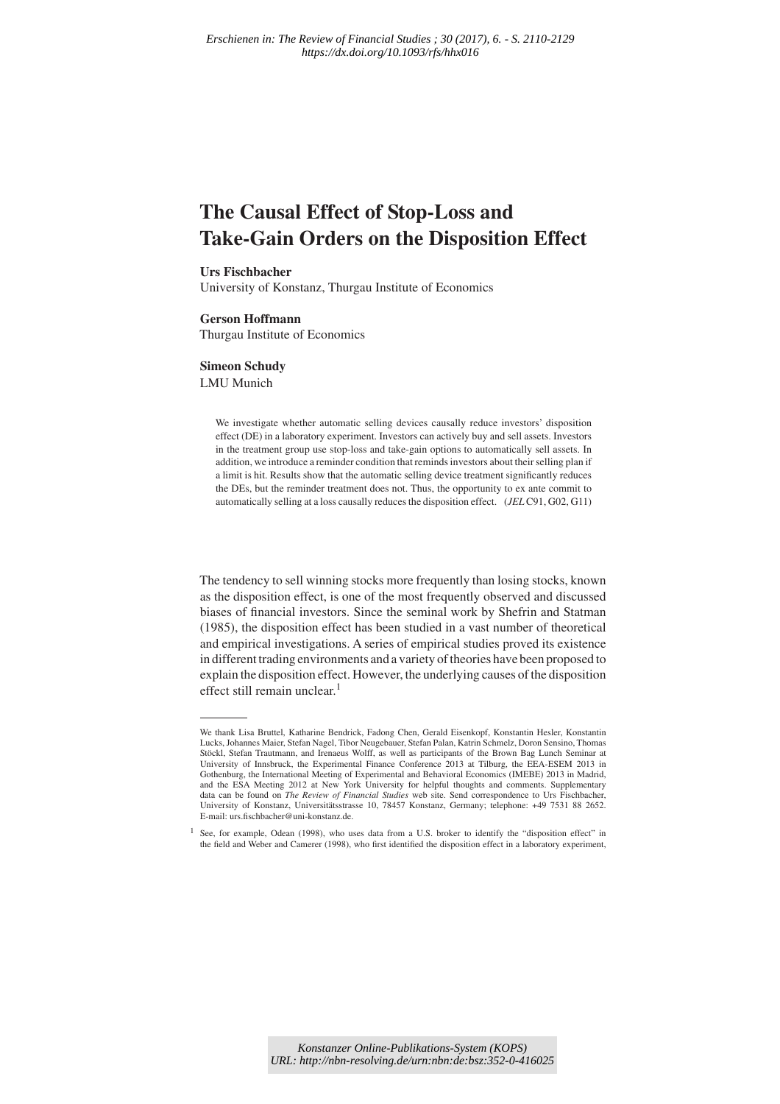# **The Causal Effect of Stop-Loss and Take-Gain Orders on the Disposition Effect**

### **Urs Fischbacher**

University of Konstanz, Thurgau Institute of Economics

#### **Gerson Hoffmann**

Thurgau Institute of Economics

# **Simeon Schudy**

LMU Munich

We investigate whether automatic selling devices causally reduce investors' disposition effect (DE) in a laboratory experiment. Investors can actively buy and sell assets. Investors in the treatment group use stop-loss and take-gain options to automatically sell assets. In addition, we introduce a reminder condition that reminds investors about their selling plan if a limit is hit. Results show that the automatic selling device treatment significantly reduces the DEs, but the reminder treatment does not. Thus, the opportunity to ex ante commit to automatically selling at a loss causally reduces the disposition effect. (*JEL*C91, G02, G11)

The tendency to sell winning stocks more frequently than losing stocks, known as the disposition effect, is one of the most frequently observed and discussed biases of financial investors. Since the seminal work by Shefrin and Statman (1985), the disposition effect has been studied in a vast number of theoretical and empirical investigations. A series of empirical studies proved its existence in different trading environments and a variety of theories have been proposed to explain the disposition effect. However, the underlying causes of the disposition effect still remain unclear.<sup>1</sup>

We thank Lisa Bruttel, Katharine Bendrick, Fadong Chen, Gerald Eisenkopf, Konstantin Hesler, Konstantin Lucks, Johannes Maier, Stefan Nagel, Tibor Neugebauer, Stefan Palan, Katrin Schmelz, Doron Sensino, Thomas Stöckl, Stefan Trautmann, and Irenaeus Wolff, as well as participants of the Brown Bag Lunch Seminar at University of Innsbruck, the Experimental Finance Conference 2013 at Tilburg, the EEA-ESEM 2013 in Gothenburg, the International Meeting of Experimental and Behavioral Economics (IMEBE) 2013 in Madrid, and the ESA Meeting 2012 at New York University for helpful thoughts and comments. Supplementary data can be found on *The Review of Financial Studies* web site. Send correspondence to Urs Fischbacher, University of Konstanz, Universitätsstrasse 10, 78457 Konstanz, Germany; telephone: +49 7531 88 2652. E-mail: urs.fischbacher@uni-konstanz.de.

<sup>1</sup> See, for example, Odean (1998), who uses data from a U.S. broker to identify the "disposition effect" in the field and Weber and Camerer (1998), who first identified the disposition effect in a laboratory experiment,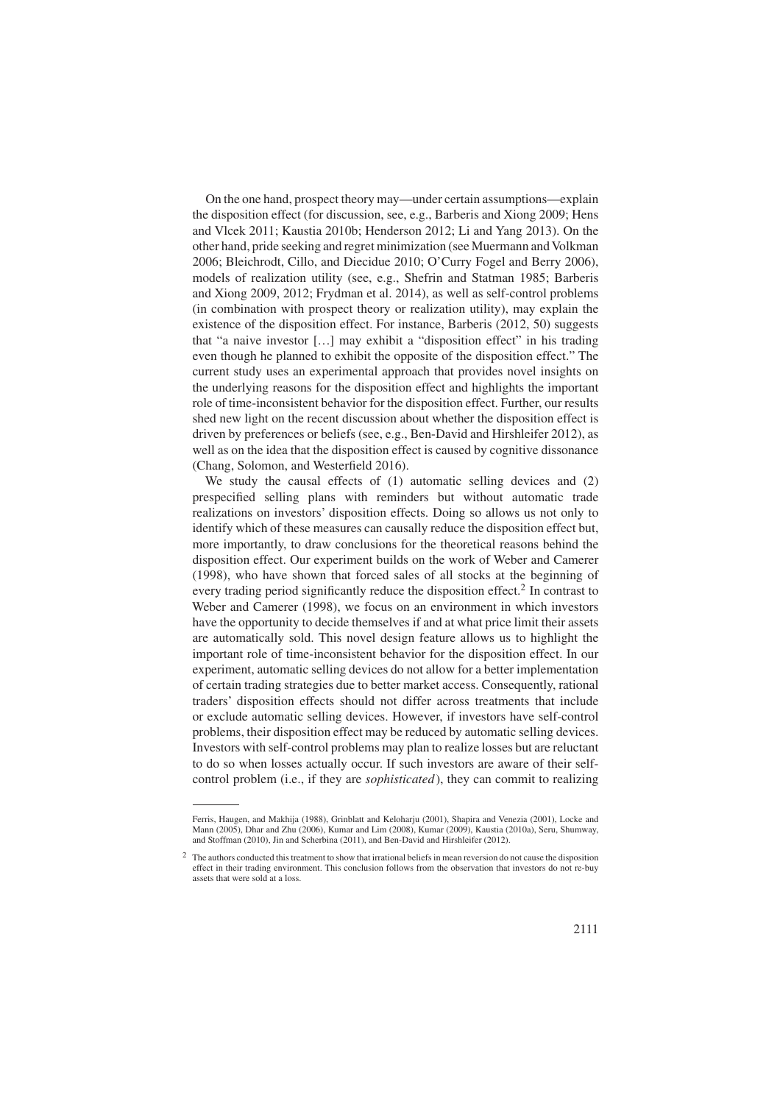On the one hand, prospect theory may—under certain assumptions—explain the disposition effect (for discussion, see, e.g., Barberis and Xiong 2009; Hens and Vlcek 2011; Kaustia 2010b; Henderson 2012; Li and Yang 2013). On the other hand, pride seeking and regret minimization (see Muermann and Volkman 2006; Bleichrodt, Cillo, and Diecidue 2010; O'Curry Fogel and Berry 2006), models of realization utility (see, e.g., Shefrin and Statman 1985; Barberis and Xiong 2009, 2012; Frydman et al. 2014), as well as self-control problems (in combination with prospect theory or realization utility), may explain the existence of the disposition effect. For instance, Barberis (2012, 50) suggests that "a naive investor [...] may exhibit a "disposition effect" in his trading even though he planned to exhibit the opposite of the disposition effect." The current study uses an experimental approach that provides novel insights on the underlying reasons for the disposition effect and highlights the important role of time-inconsistent behavior for the disposition effect. Further, our results shed new light on the recent discussion about whether the disposition effect is driven by preferences or beliefs (see, e.g., Ben-David and Hirshleifer 2012), as well as on the idea that the disposition effect is caused by cognitive dissonance (Chang, Solomon, and Westerfield 2016).

We study the causal effects of (1) automatic selling devices and (2) prespecified selling plans with reminders but without automatic trade realizations on investors' disposition effects. Doing so allows us not only to identify which of these measures can causally reduce the disposition effect but, more importantly, to draw conclusions for the theoretical reasons behind the disposition effect. Our experiment builds on the work of Weber and Camerer (1998), who have shown that forced sales of all stocks at the beginning of every trading period significantly reduce the disposition effect.<sup>2</sup> In contrast to Weber and Camerer (1998), we focus on an environment in which investors have the opportunity to decide themselves if and at what price limit their assets are automatically sold. This novel design feature allows us to highlight the important role of time-inconsistent behavior for the disposition effect. In our experiment, automatic selling devices do not allow for a better implementation of certain trading strategies due to better market access. Consequently, rational traders' disposition effects should not differ across treatments that include or exclude automatic selling devices. However, if investors have self-control problems, their disposition effect may be reduced by automatic selling devices. Investors with self-control problems may plan to realize losses but are reluctant to do so when losses actually occur. If such investors are aware of their selfcontrol problem (i.e., if they are *sophisticated*), they can commit to realizing

Ferris, Haugen, and Makhija (1988), Grinblatt and Keloharju (2001), Shapira and Venezia (2001), Locke and Mann (2005), Dhar and Zhu (2006), Kumar and Lim (2008), Kumar (2009), Kaustia (2010a), Seru, Shumway, and Stoffman (2010), Jin and Scherbina (2011), and Ben-David and Hirshleifer (2012).

<sup>2</sup> The authors conducted this treatment to show that irrational beliefs in mean reversion do not cause the disposition effect in their trading environment. This conclusion follows from the observation that investors do not re-buy assets that were sold at a loss.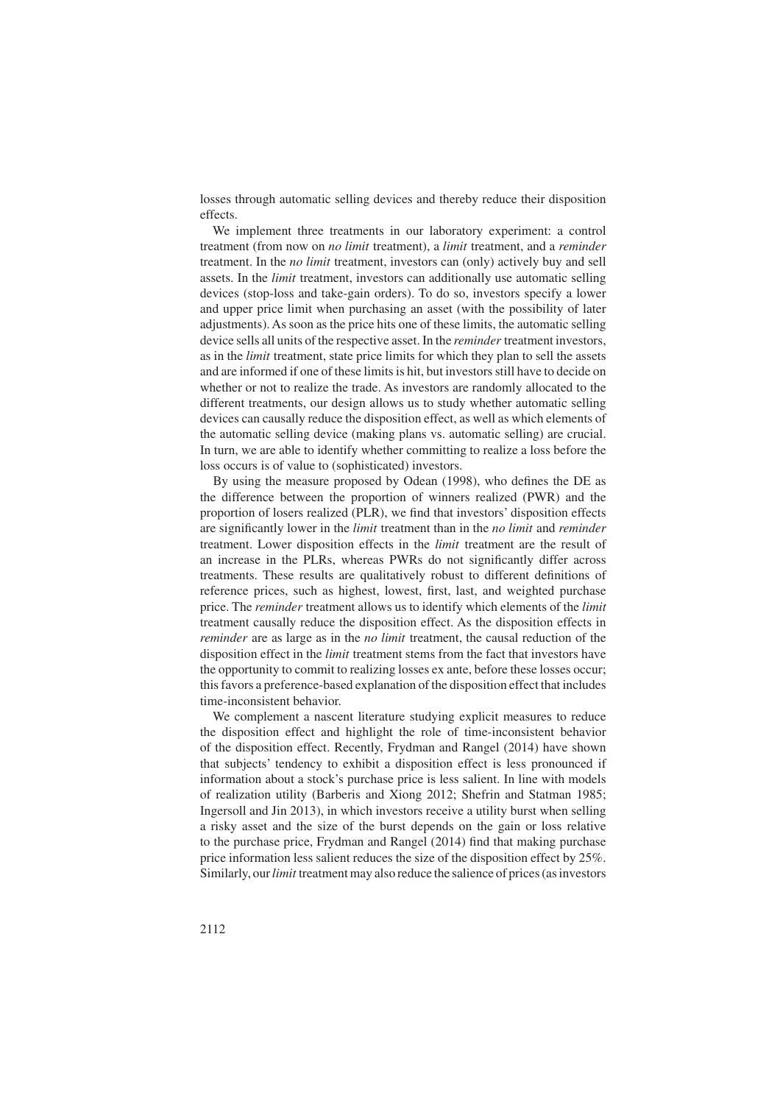losses through automatic selling devices and thereby reduce their disposition effects.

We implement three treatments in our laboratory experiment: a control treatment (from now on *no limit* treatment), a *limit* treatment, and a *reminder* treatment. In the *no limit* treatment, investors can (only) actively buy and sell assets. In the *limit* treatment, investors can additionally use automatic selling devices (stop-loss and take-gain orders). To do so, investors specify a lower and upper price limit when purchasing an asset (with the possibility of later adjustments). As soon as the price hits one of these limits, the automatic selling device sells all units of the respective asset. In the *reminder* treatment investors, as in the *limit* treatment, state price limits for which they plan to sell the assets and are informed if one of these limits is hit, but investors still have to decide on whether or not to realize the trade. As investors are randomly allocated to the different treatments, our design allows us to study whether automatic selling devices can causally reduce the disposition effect, as well as which elements of the automatic selling device (making plans vs. automatic selling) are crucial. In turn, we are able to identify whether committing to realize a loss before the loss occurs is of value to (sophisticated) investors.

By using the measure proposed by Odean (1998), who defines the DE as the difference between the proportion of winners realized (PWR) and the proportion of losers realized (PLR), we find that investors' disposition effects are significantly lower in the *limit* treatment than in the *no limit* and *reminder* treatment. Lower disposition effects in the *limit* treatment are the result of an increase in the PLRs, whereas PWRs do not significantly differ across treatments. These results are qualitatively robust to different definitions of reference prices, such as highest, lowest, first, last, and weighted purchase price. The *reminder* treatment allows us to identify which elements of the *limit* treatment causally reduce the disposition effect. As the disposition effects in *reminder* are as large as in the *no limit* treatment, the causal reduction of the disposition effect in the *limit* treatment stems from the fact that investors have the opportunity to commit to realizing losses ex ante, before these losses occur; this favors a preference-based explanation of the disposition effect that includes time-inconsistent behavior.

We complement a nascent literature studying explicit measures to reduce the disposition effect and highlight the role of time-inconsistent behavior of the disposition effect. Recently, Frydman and Rangel (2014) have shown that subjects' tendency to exhibit a disposition effect is less pronounced if information about a stock's purchase price is less salient. In line with models of realization utility (Barberis and Xiong 2012; Shefrin and Statman 1985; Ingersoll and Jin 2013), in which investors receive a utility burst when selling a risky asset and the size of the burst depends on the gain or loss relative to the purchase price, Frydman and Rangel (2014) find that making purchase price information less salient reduces the size of the disposition effect by 25%. Similarly, our*limit* treatment may also reduce the salience of prices (as investors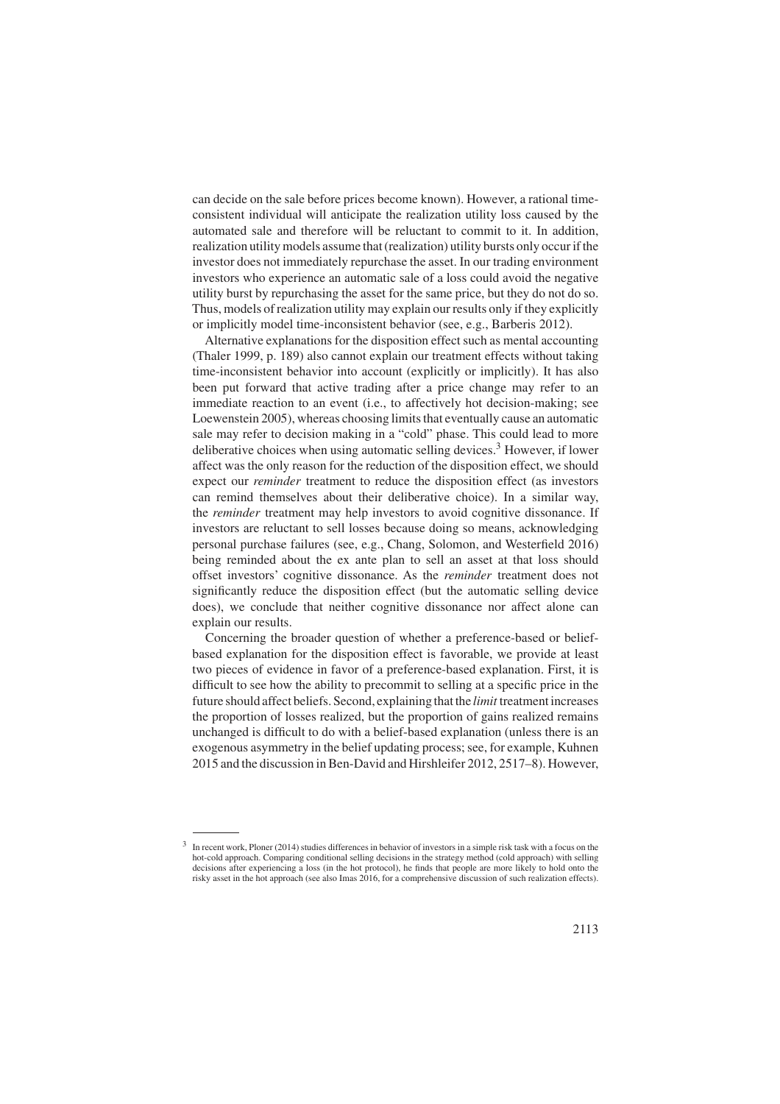can decide on the sale before prices become known). However, a rational timeconsistent individual will anticipate the realization utility loss caused by the automated sale and therefore will be reluctant to commit to it. In addition, realization utility models assume that (realization) utility bursts only occur if the investor does not immediately repurchase the asset. In our trading environment investors who experience an automatic sale of a loss could avoid the negative utility burst by repurchasing the asset for the same price, but they do not do so. Thus, models of realization utility may explain our results only if they explicitly or implicitly model time-inconsistent behavior (see, e.g., Barberis 2012).

Alternative explanations for the disposition effect such as mental accounting (Thaler 1999, p. 189) also cannot explain our treatment effects without taking time-inconsistent behavior into account (explicitly or implicitly). It has also been put forward that active trading after a price change may refer to an immediate reaction to an event (i.e., to affectively hot decision-making; see Loewenstein 2005), whereas choosing limits that eventually cause an automatic sale may refer to decision making in a "cold" phase. This could lead to more deliberative choices when using automatic selling devices.<sup>3</sup> However, if lower affect was the only reason for the reduction of the disposition effect, we should expect our *reminder* treatment to reduce the disposition effect (as investors can remind themselves about their deliberative choice). In a similar way, the *reminder* treatment may help investors to avoid cognitive dissonance. If investors are reluctant to sell losses because doing so means, acknowledging personal purchase failures (see, e.g., Chang, Solomon, and Westerfield 2016) being reminded about the ex ante plan to sell an asset at that loss should offset investors' cognitive dissonance. As the *reminder* treatment does not significantly reduce the disposition effect (but the automatic selling device does), we conclude that neither cognitive dissonance nor affect alone can explain our results.

Concerning the broader question of whether a preference-based or beliefbased explanation for the disposition effect is favorable, we provide at least two pieces of evidence in favor of a preference-based explanation. First, it is difficult to see how the ability to precommit to selling at a specific price in the future should affect beliefs. Second, explaining that the *limit* treatment increases the proportion of losses realized, but the proportion of gains realized remains unchanged is difficult to do with a belief-based explanation (unless there is an exogenous asymmetry in the belief updating process; see, for example, Kuhnen 2015 and the discussion in Ben-David and Hirshleifer 2012, 2517–8). However,

In recent work. Ploner (2014) studies differences in behavior of investors in a simple risk task with a focus on the hot-cold approach. Comparing conditional selling decisions in the strategy method (cold approach) with selling decisions after experiencing a loss (in the hot protocol), he finds that people are more likely to hold onto the risky asset in the hot approach (see also Imas 2016, for a comprehensive discussion of such realization effects).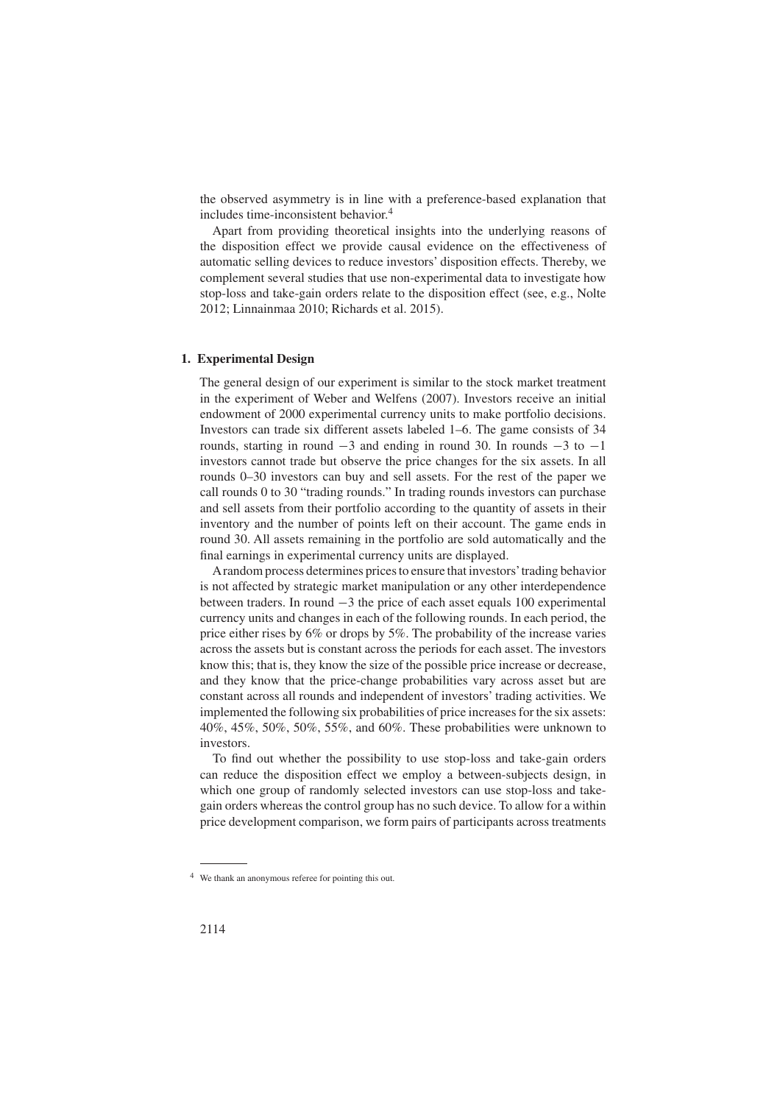the observed asymmetry is in line with a preference-based explanation that includes time-inconsistent behavior.<sup>4</sup>

Apart from providing theoretical insights into the underlying reasons of the disposition effect we provide causal evidence on the effectiveness of automatic selling devices to reduce investors' disposition effects. Thereby, we complement several studies that use non-experimental data to investigate how stop-loss and take-gain orders relate to the disposition effect (see, e.g., Nolte 2012; Linnainmaa 2010; Richards et al. 2015).

# **1. Experimental Design**

The general design of our experiment is similar to the stock market treatment in the experiment of Weber and Welfens (2007). Investors receive an initial endowment of 2000 experimental currency units to make portfolio decisions. Investors can trade six different assets labeled 1–6. The game consists of 34 rounds, starting in round  $-3$  and ending in round 30. In rounds  $-3$  to  $-1$ investors cannot trade but observe the price changes for the six assets. In all rounds 0–30 investors can buy and sell assets. For the rest of the paper we call rounds 0 to 30 "trading rounds." In trading rounds investors can purchase and sell assets from their portfolio according to the quantity of assets in their inventory and the number of points left on their account. The game ends in round 30. All assets remaining in the portfolio are sold automatically and the final earnings in experimental currency units are displayed.

Arandom process determines prices to ensure that investors'trading behavior is not affected by strategic market manipulation or any other interdependence between traders. In round −3 the price of each asset equals 100 experimental currency units and changes in each of the following rounds. In each period, the price either rises by 6% or drops by 5%. The probability of the increase varies across the assets but is constant across the periods for each asset. The investors know this; that is, they know the size of the possible price increase or decrease, and they know that the price-change probabilities vary across asset but are constant across all rounds and independent of investors' trading activities. We implemented the following six probabilities of price increases for the six assets: 40%, 45%, 50%, 50%, 55%, and 60%. These probabilities were unknown to investors.

To find out whether the possibility to use stop-loss and take-gain orders can reduce the disposition effect we employ a between-subjects design, in which one group of randomly selected investors can use stop-loss and takegain orders whereas the control group has no such device. To allow for a within price development comparison, we form pairs of participants across treatments

We thank an anonymous referee for pointing this out.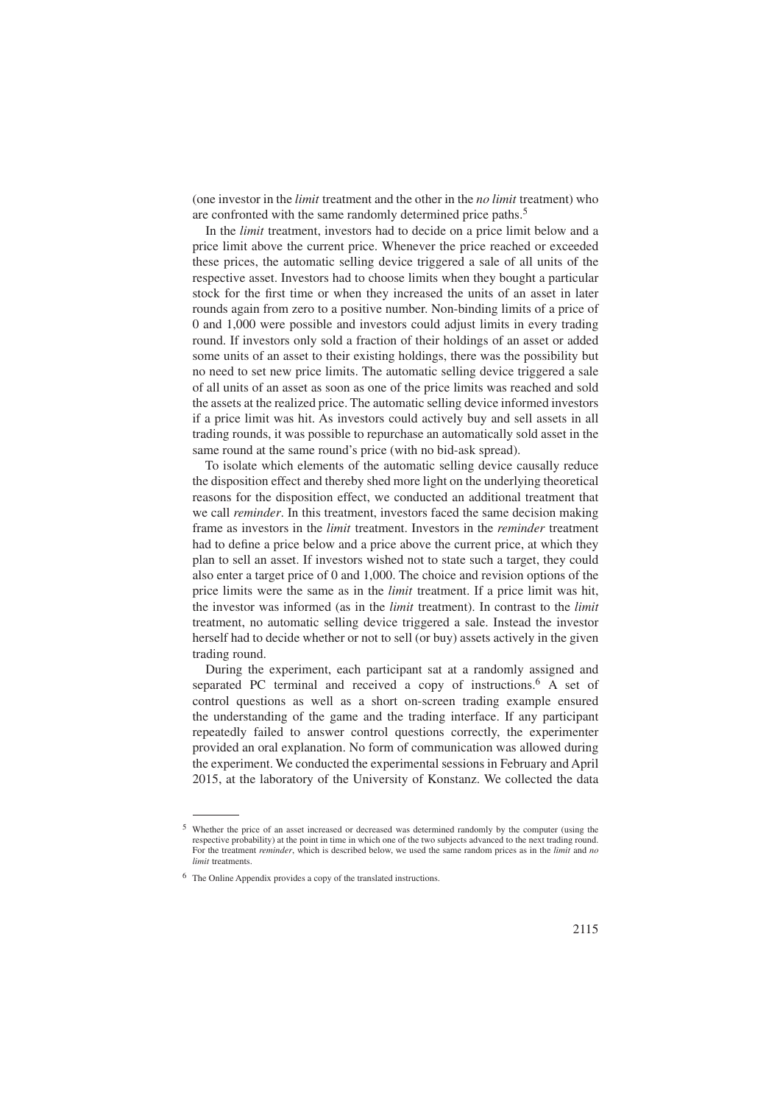(one investor in the *limit* treatment and the other in the *no limit* treatment) who are confronted with the same randomly determined price paths.<sup>5</sup>

In the *limit* treatment, investors had to decide on a price limit below and a price limit above the current price. Whenever the price reached or exceeded these prices, the automatic selling device triggered a sale of all units of the respective asset. Investors had to choose limits when they bought a particular stock for the first time or when they increased the units of an asset in later rounds again from zero to a positive number. Non-binding limits of a price of 0 and 1,000 were possible and investors could adjust limits in every trading round. If investors only sold a fraction of their holdings of an asset or added some units of an asset to their existing holdings, there was the possibility but no need to set new price limits. The automatic selling device triggered a sale of all units of an asset as soon as one of the price limits was reached and sold the assets at the realized price. The automatic selling device informed investors if a price limit was hit. As investors could actively buy and sell assets in all trading rounds, it was possible to repurchase an automatically sold asset in the same round at the same round's price (with no bid-ask spread).

To isolate which elements of the automatic selling device causally reduce the disposition effect and thereby shed more light on the underlying theoretical reasons for the disposition effect, we conducted an additional treatment that we call *reminder*. In this treatment, investors faced the same decision making frame as investors in the *limit* treatment. Investors in the *reminder* treatment had to define a price below and a price above the current price, at which they plan to sell an asset. If investors wished not to state such a target, they could also enter a target price of 0 and 1,000. The choice and revision options of the price limits were the same as in the *limit* treatment. If a price limit was hit, the investor was informed (as in the *limit* treatment). In contrast to the *limit* treatment, no automatic selling device triggered a sale. Instead the investor herself had to decide whether or not to sell (or buy) assets actively in the given trading round.

During the experiment, each participant sat at a randomly assigned and separated PC terminal and received a copy of instructions.<sup>6</sup> A set of control questions as well as a short on-screen trading example ensured the understanding of the game and the trading interface. If any participant repeatedly failed to answer control questions correctly, the experimenter provided an oral explanation. No form of communication was allowed during the experiment. We conducted the experimental sessions in February and April 2015, at the laboratory of the University of Konstanz. We collected the data

<sup>5</sup> Whether the price of an asset increased or decreased was determined randomly by the computer (using the respective probability) at the point in time in which one of the two subjects advanced to the next trading round. For the treatment *reminder*, which is described below, we used the same random prices as in the *limit* and *no limit* treatments.

<sup>6</sup> The Online Appendix provides a copy of the translated instructions.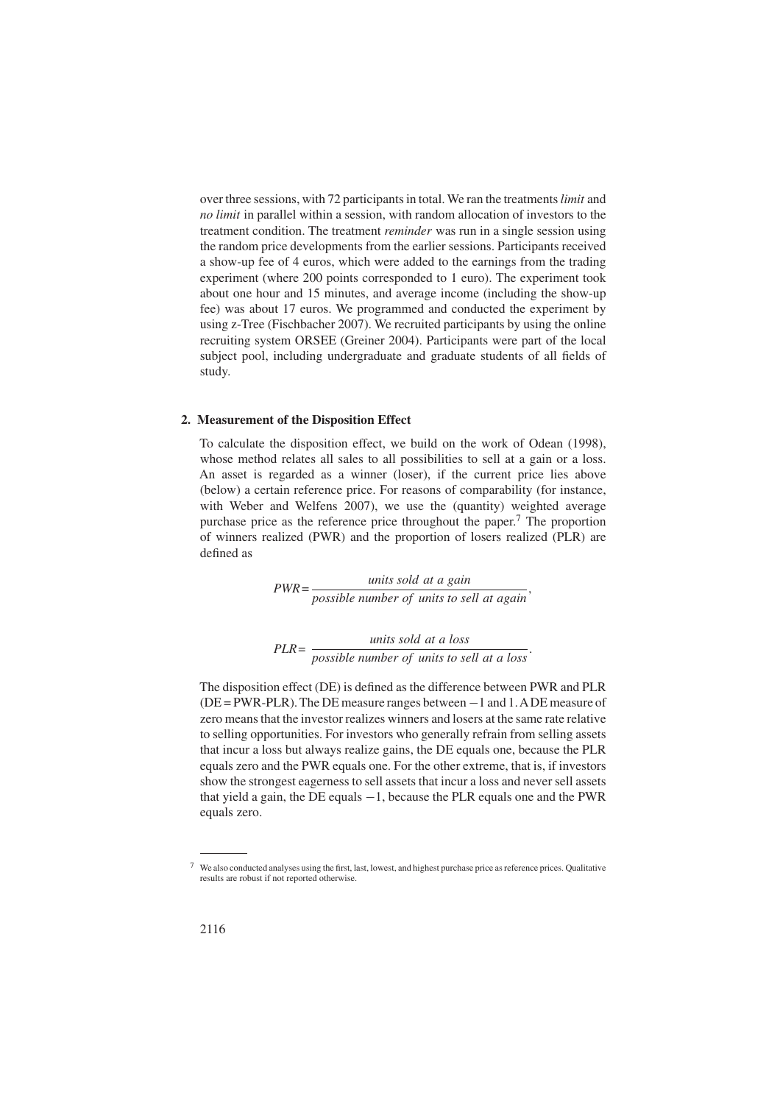over three sessions, with 72 participants in total. We ran the treatments*limit* and *no limit* in parallel within a session, with random allocation of investors to the treatment condition. The treatment *reminder* was run in a single session using the random price developments from the earlier sessions. Participants received a show-up fee of 4 euros, which were added to the earnings from the trading experiment (where 200 points corresponded to 1 euro). The experiment took about one hour and 15 minutes, and average income (including the show-up fee) was about 17 euros. We programmed and conducted the experiment by using z-Tree (Fischbacher 2007). We recruited participants by using the online recruiting system ORSEE (Greiner 2004). Participants were part of the local subject pool, including undergraduate and graduate students of all fields of study.

## **2. Measurement of the Disposition Effect**

To calculate the disposition effect, we build on the work of Odean (1998), whose method relates all sales to all possibilities to sell at a gain or a loss. An asset is regarded as a winner (loser), if the current price lies above (below) a certain reference price. For reasons of comparability (for instance, with Weber and Welfens 2007), we use the (quantity) weighted average purchase price as the reference price throughout the paper.<sup>7</sup> The proportion of winners realized (PWR) and the proportion of losers realized (PLR) are defined as

> *PWR*<sup>=</sup> *units sold at a gain possible number of units to sell at again*,

> *PLR*=  $\frac{units \, sold \, at \, a \, loss}{possible \, number \, of \, units \, to \, sell \, at \, a \, loss}$ .

The disposition effect (DE) is defined as the difference between PWR and PLR  $(DE = PWR-PLR)$ . The DE measure ranges between  $-1$  and  $1$ . A DE measure of zero means that the investor realizes winners and losers at the same rate relative to selling opportunities. For investors who generally refrain from selling assets that incur a loss but always realize gains, the DE equals one, because the PLR equals zero and the PWR equals one. For the other extreme, that is, if investors show the strongest eagerness to sell assets that incur a loss and never sell assets that yield a gain, the DE equals  $-1$ , because the PLR equals one and the PWR equals zero.

<sup>7</sup> We also conducted analyses using the first, last, lowest, and highest purchase price as reference prices. Qualitative results are robust if not reported otherwise.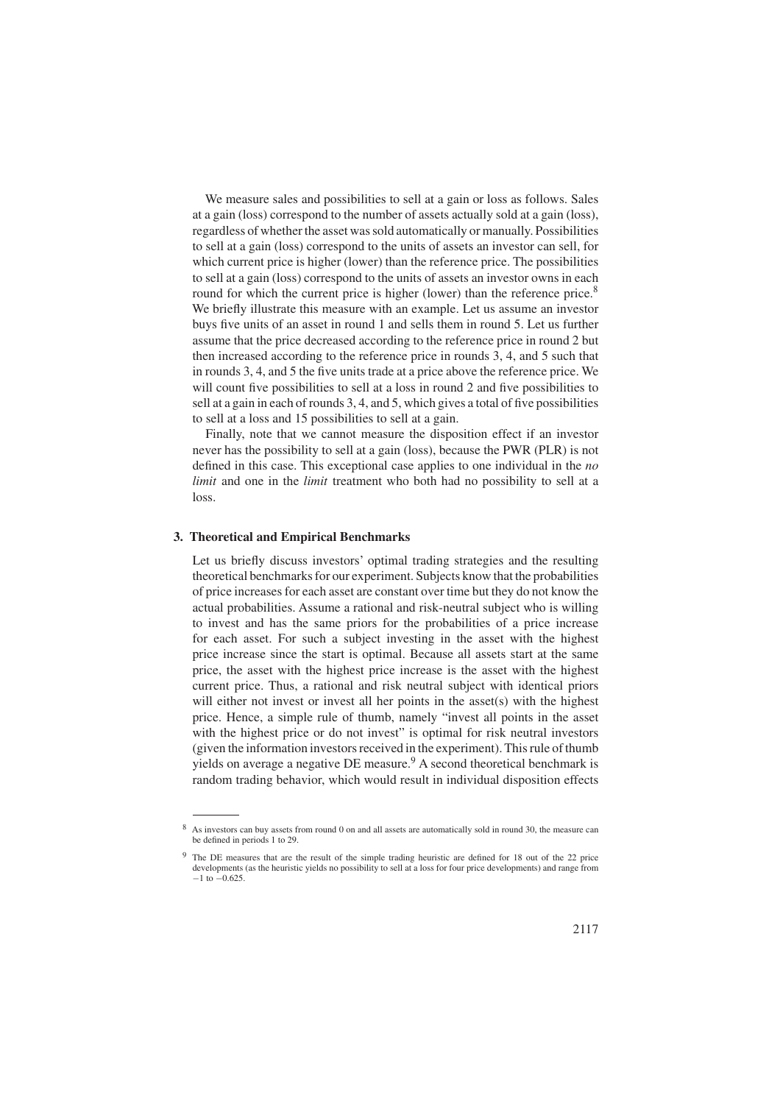We measure sales and possibilities to sell at a gain or loss as follows. Sales at a gain (loss) correspond to the number of assets actually sold at a gain (loss), regardless of whether the asset was sold automatically or manually. Possibilities to sell at a gain (loss) correspond to the units of assets an investor can sell, for which current price is higher (lower) than the reference price. The possibilities to sell at a gain (loss) correspond to the units of assets an investor owns in each round for which the current price is higher (lower) than the reference price.<sup>8</sup> We briefly illustrate this measure with an example. Let us assume an investor buys five units of an asset in round 1 and sells them in round 5. Let us further assume that the price decreased according to the reference price in round 2 but then increased according to the reference price in rounds 3, 4, and 5 such that in rounds 3, 4, and 5 the five units trade at a price above the reference price. We will count five possibilities to sell at a loss in round 2 and five possibilities to sell at a gain in each of rounds 3, 4, and 5, which gives a total of five possibilities to sell at a loss and 15 possibilities to sell at a gain.

Finally, note that we cannot measure the disposition effect if an investor never has the possibility to sell at a gain (loss), because the PWR (PLR) is not defined in this case. This exceptional case applies to one individual in the *no limit* and one in the *limit* treatment who both had no possibility to sell at a loss.

### **3. Theoretical and Empirical Benchmarks**

Let us briefly discuss investors' optimal trading strategies and the resulting theoretical benchmarks for our experiment. Subjects know that the probabilities of price increases for each asset are constant over time but they do not know the actual probabilities. Assume a rational and risk-neutral subject who is willing to invest and has the same priors for the probabilities of a price increase for each asset. For such a subject investing in the asset with the highest price increase since the start is optimal. Because all assets start at the same price, the asset with the highest price increase is the asset with the highest current price. Thus, a rational and risk neutral subject with identical priors will either not invest or invest all her points in the asset(s) with the highest price. Hence, a simple rule of thumb, namely "invest all points in the asset with the highest price or do not invest" is optimal for risk neutral investors (given the information investors received in the experiment). This rule of thumb yields on average a negative DE measure.<sup>9</sup> A second theoretical benchmark is random trading behavior, which would result in individual disposition effects

As investors can buy assets from round 0 on and all assets are automatically sold in round 30, the measure can be defined in periods 1 to 29.

The DE measures that are the result of the simple trading heuristic are defined for 18 out of the 22 price developments (as the heuristic yields no possibility to sell at a loss for four price developments) and range from  $-1$  to  $-0.625$ .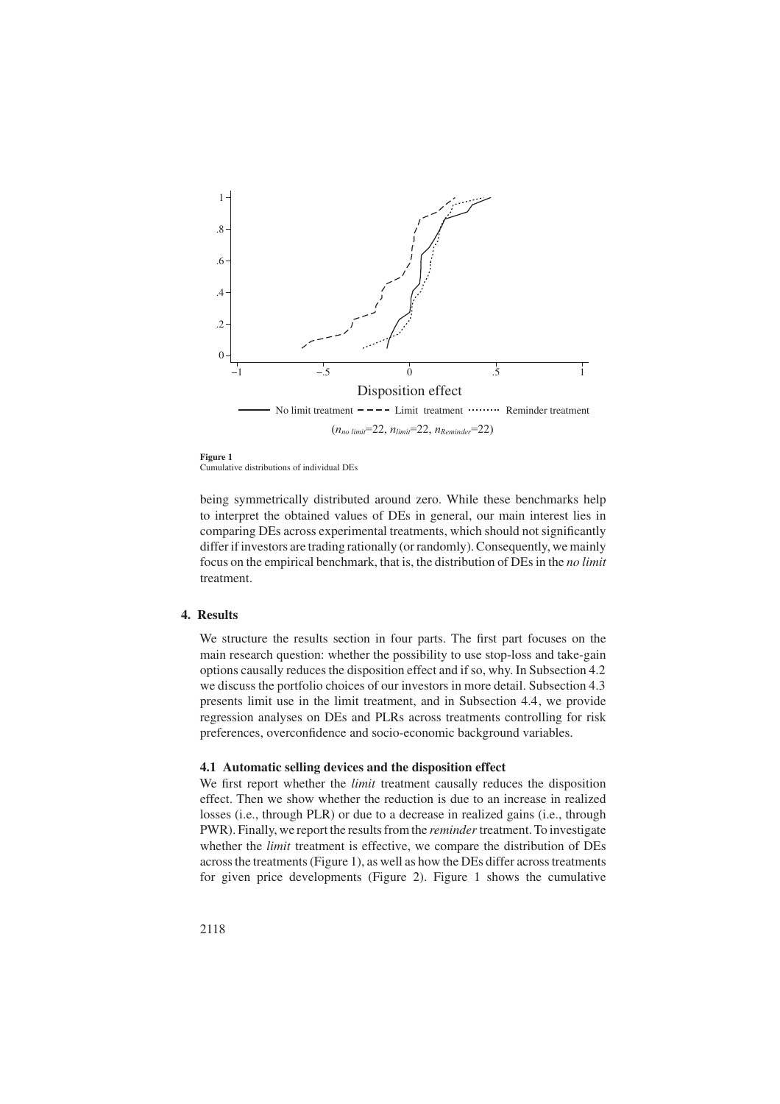

**Figure 1** Cumulative distributions of individual DEs

being symmetrically distributed around zero. While these benchmarks help to interpret the obtained values of DEs in general, our main interest lies in comparing DEs across experimental treatments, which should not significantly differ if investors are trading rationally (or randomly). Consequently, we mainly focus on the empirical benchmark, that is, the distribution of DEs in the *no limit* treatment.

# **4. Results**

We structure the results section in four parts. The first part focuses on the main research question: whether the possibility to use stop-loss and take-gain options causally reduces the disposition effect and if so, why. In Subsection 4.2 we discuss the portfolio choices of our investors in more detail. Subsection 4.3 presents limit use in the limit treatment, and in Subsection 4.4, we provide regression analyses on DEs and PLRs across treatments controlling for risk preferences, overconfidence and socio-economic background variables.

# **4.1 Automatic selling devices and the disposition effect**

We first report whether the *limit* treatment causally reduces the disposition effect. Then we show whether the reduction is due to an increase in realized losses (i.e., through PLR) or due to a decrease in realized gains (i.e., through PWR). Finally, we report the results from the *reminder* treatment. To investigate whether the *limit* treatment is effective, we compare the distribution of DEs across the treatments (Figure 1), as well as how the DEs differ across treatments for given price developments (Figure 2). Figure 1 shows the cumulative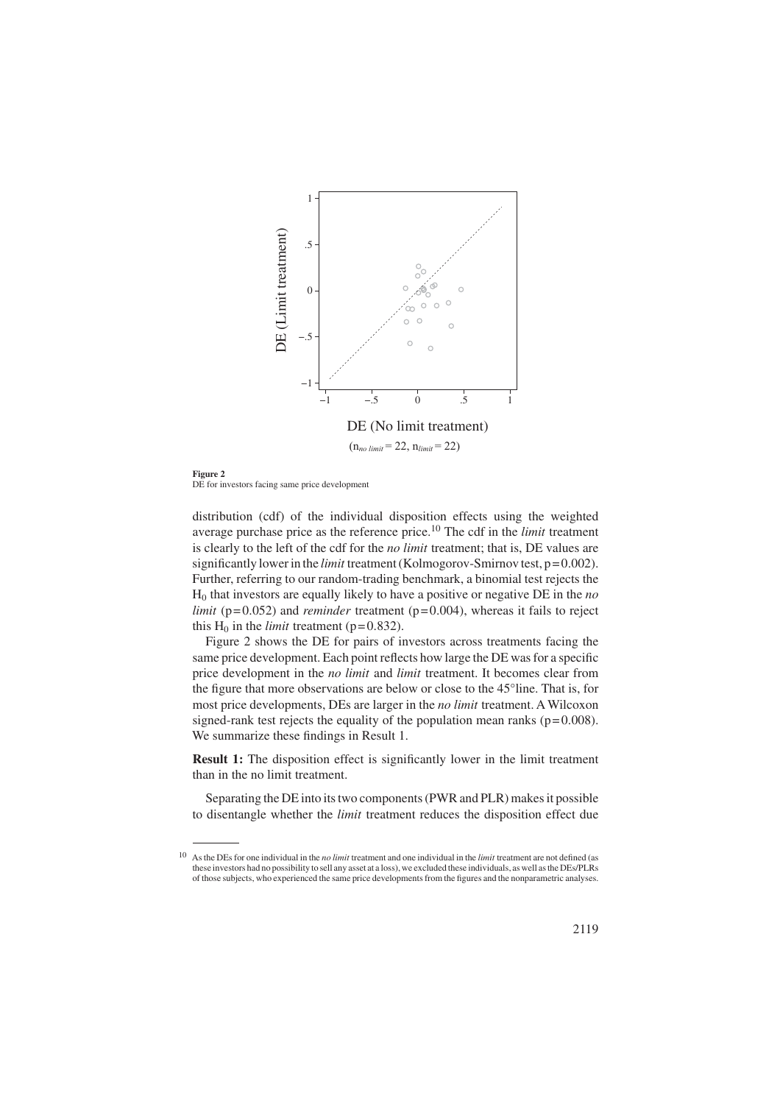

**Figure 2** DE for investors facing same price development

distribution (cdf) of the individual disposition effects using the weighted average purchase price as the reference price.<sup>10</sup> The cdf in the *limit* treatment is clearly to the left of the cdf for the *no limit* treatment; that is, DE values are significantly lower in the *limit* treatment (Kolmogorov-Smirnov test, p=0.002). Further, referring to our random-trading benchmark, a binomial test rejects the H0 that investors are equally likely to have a positive or negative DE in the *no limit* ( $p=0.052$ ) and *reminder* treatment ( $p=0.004$ ), whereas it fails to reject this  $H_0$  in the *limit* treatment ( $p=0.832$ ).

Figure 2 shows the DE for pairs of investors across treatments facing the same price development. Each point reflects how large the DE was for a specific price development in the *no limit* and *limit* treatment. It becomes clear from the figure that more observations are below or close to the 45°line. That is, for most price developments, DEs are larger in the *no limit* treatment. A Wilcoxon signed-rank test rejects the equality of the population mean ranks ( $p=0.008$ ). We summarize these findings in Result 1.

**Result 1:** The disposition effect is significantly lower in the limit treatment than in the no limit treatment.

Separating the DE into its two components (PWR and PLR) makes it possible to disentangle whether the *limit* treatment reduces the disposition effect due

<sup>10</sup> As the DEs for one individual in the *no limit* treatment and one individual in the *limit* treatment are not defined (as these investors had no possibility to sell any asset at a loss), we excluded these individuals, as well as the DEs/PLRs of those subjects, who experienced the same price developments from the figures and the nonparametric analyses.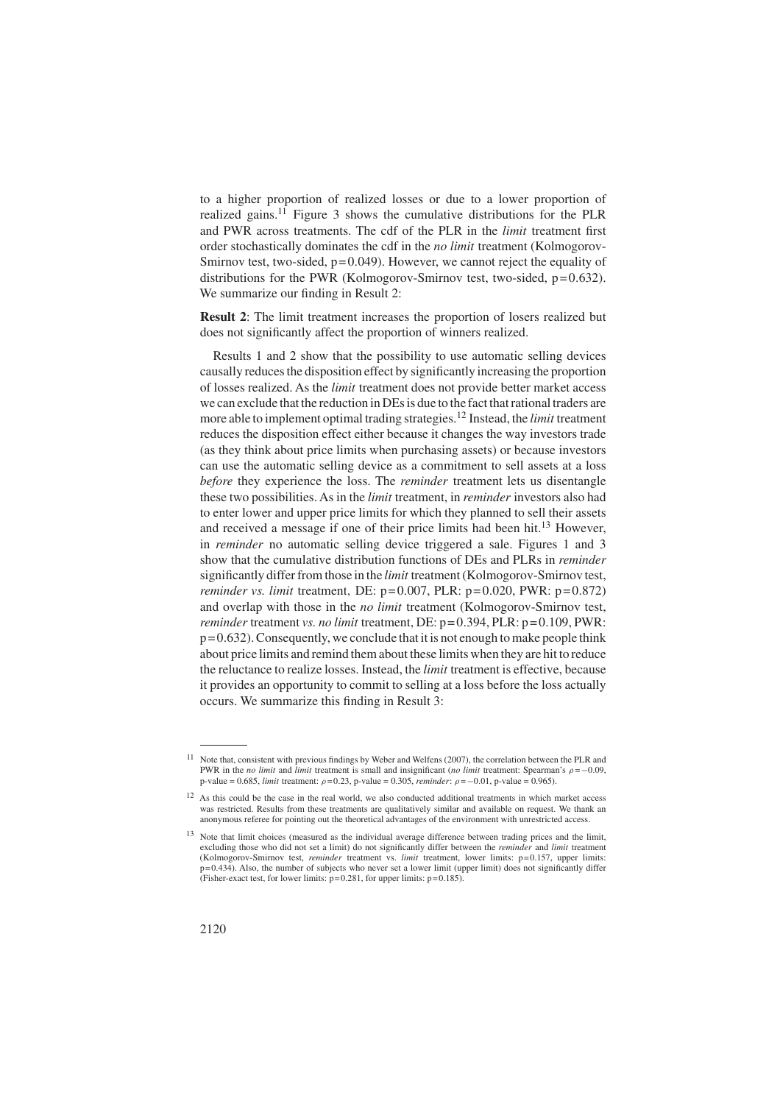to a higher proportion of realized losses or due to a lower proportion of realized gains.<sup>11</sup> Figure 3 shows the cumulative distributions for the PLR and PWR across treatments. The cdf of the PLR in the *limit* treatment first order stochastically dominates the cdf in the *no limit* treatment (Kolmogorov-Smirnov test, two-sided,  $p=0.049$ ). However, we cannot reject the equality of distributions for the PWR (Kolmogorov-Smirnov test, two-sided, p=0.632). We summarize our finding in Result 2:

**Result 2**: The limit treatment increases the proportion of losers realized but does not significantly affect the proportion of winners realized.

Results 1 and 2 show that the possibility to use automatic selling devices causally reduces the disposition effect by significantly increasing the proportion of losses realized. As the *limit* treatment does not provide better market access we can exclude that the reduction in DEs is due to the fact that rational traders are more able to implement optimal trading strategies.<sup>12</sup> Instead, the *limit* treatment reduces the disposition effect either because it changes the way investors trade (as they think about price limits when purchasing assets) or because investors can use the automatic selling device as a commitment to sell assets at a loss *before* they experience the loss. The *reminder* treatment lets us disentangle these two possibilities. As in the *limit* treatment, in *reminder* investors also had to enter lower and upper price limits for which they planned to sell their assets and received a message if one of their price limits had been hit.<sup>13</sup> However, in *reminder* no automatic selling device triggered a sale. Figures 1 and 3 show that the cumulative distribution functions of DEs and PLRs in *reminder* significantly differ from those in the *limit* treatment (Kolmogorov-Smirnov test, *reminder vs. limit* treatment, DE: p=0.007, PLR: p=0.020, PWR: p=0.872) and overlap with those in the *no limit* treatment (Kolmogorov-Smirnov test, *reminder* treatment *vs. no limit* treatment, DE: p=0.394, PLR: p=0.109, PWR: p=0.632). Consequently, we conclude that it is not enough to make people think about price limits and remind them about these limits when they are hit to reduce the reluctance to realize losses. Instead, the *limit* treatment is effective, because it provides an opportunity to commit to selling at a loss before the loss actually occurs. We summarize this finding in Result 3:

<sup>&</sup>lt;sup>11</sup> Note that, consistent with previous findings by Weber and Welfens (2007), the correlation between the PLR and PWR in the *no limit* and *limit* treatment is small and insignificant (*no limit* treatment: Spearman's  $\rho = -0.09$ , p-value = 0.685, *limit* treatment: ρ =0.23, p-value = 0.305, *reminder*: ρ =−0.01, p-value = 0.965).

<sup>&</sup>lt;sup>12</sup> As this could be the case in the real world, we also conducted additional treatments in which market access was restricted. Results from these treatments are qualitatively similar and available on request. We thank an anonymous referee for pointing out the theoretical advantages of the environment with unrestricted access.

<sup>&</sup>lt;sup>13</sup> Note that limit choices (measured as the individual average difference between trading prices and the limit, excluding those who did not set a limit) do not significantly differ between the *reminder* and *limit* treatment (Kolmogorov-Smirnov test, *reminder* treatment vs. *limit* treatment, lower limits: p=0.157, upper limits: p=0.434). Also, the number of subjects who never set a lower limit (upper limit) does not significantly differ (Fisher-exact test, for lower limits:  $p=0.281$ , for upper limits:  $p=0.185$ ).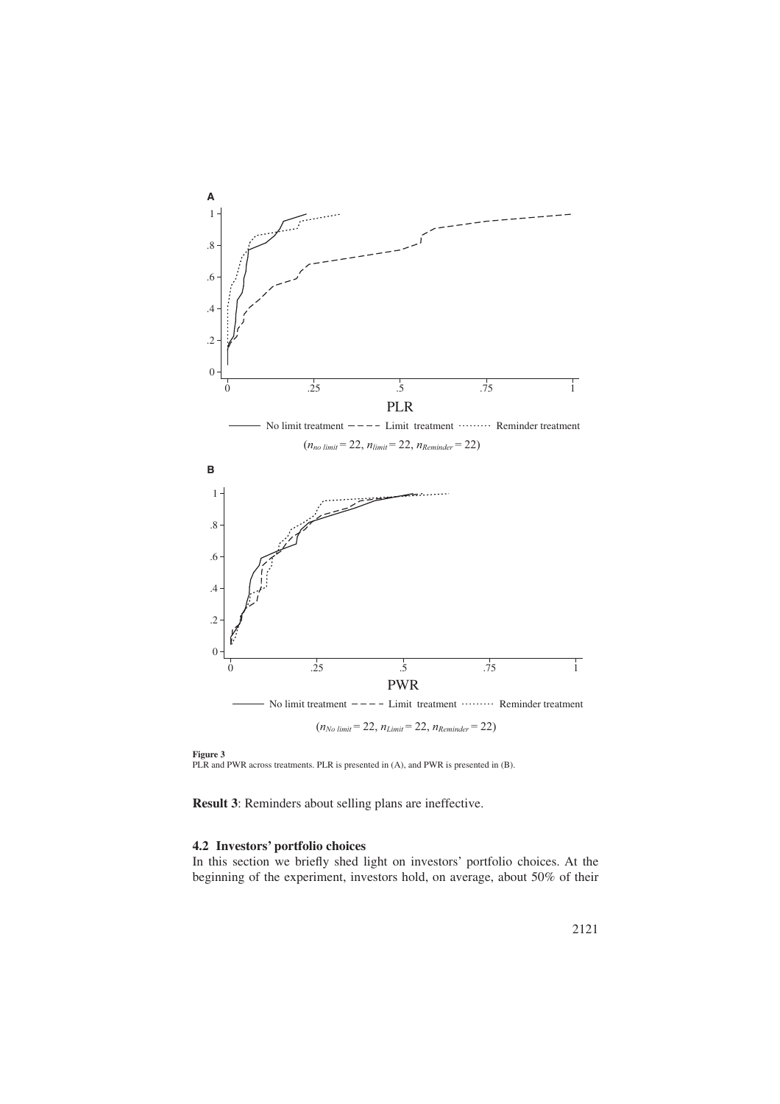

**Figure 3**

PLR and PWR across treatments. PLR is presented in (A), and PWR is presented in (B).

**Result 3**: Reminders about selling plans are ineffective.

# **4.2 Investors' portfolio choices**

In this section we briefly shed light on investors' portfolio choices. At the beginning of the experiment, investors hold, on average, about 50% of their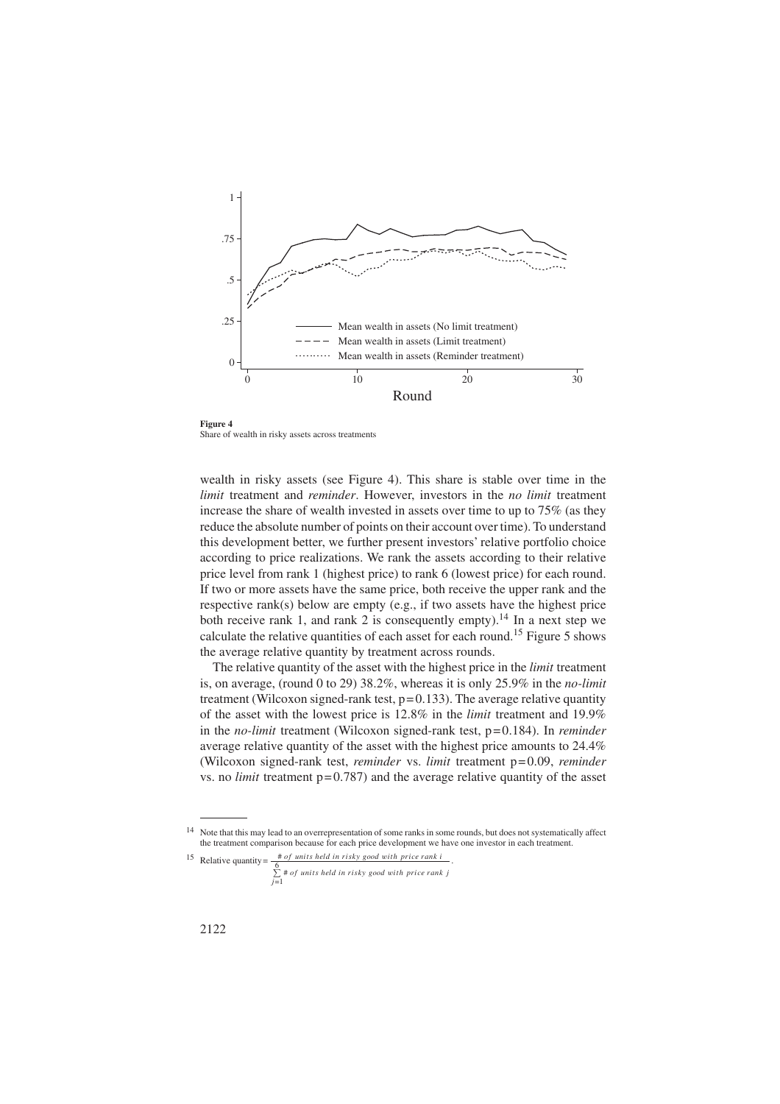

**Figure 4** Share of wealth in risky assets across treatments

wealth in risky assets (see Figure 4). This share is stable over time in the *limit* treatment and *reminder*. However, investors in the *no limit* treatment increase the share of wealth invested in assets over time to up to 75% (as they reduce the absolute number of points on their account over time). To understand this development better, we further present investors' relative portfolio choice according to price realizations. We rank the assets according to their relative price level from rank 1 (highest price) to rank 6 (lowest price) for each round. If two or more assets have the same price, both receive the upper rank and the respective rank(s) below are empty (e.g., if two assets have the highest price both receive rank 1, and rank 2 is consequently empty).<sup>14</sup> In a next step we calculate the relative quantities of each asset for each round.<sup>15</sup> Figure 5 shows the average relative quantity by treatment across rounds.

The relative quantity of the asset with the highest price in the *limit* treatment is, on average, (round 0 to 29) 38.2%, whereas it is only 25.9% in the *no-limit* treatment (Wilcoxon signed-rank test,  $p=0.133$ ). The average relative quantity of the asset with the lowest price is 12.8% in the *limit* treatment and 19.9% in the *no-limit* treatment (Wilcoxon signed-rank test, p=0.184). In *reminder* average relative quantity of the asset with the highest price amounts to 24.4% (Wilcoxon signed-rank test, *reminder* vs. *limit* treatment p=0.09, *reminder* vs. no *limit* treatment  $p=0.787$  and the average relative quantity of the asset

.

$$
\sum_{j=1}^{6} # of units held in risky good with price rank j
$$

<sup>&</sup>lt;sup>14</sup> Note that this may lead to an overrepresentation of some ranks in some rounds, but does not systematically affect the treatment comparison because for each price development we have one investor in each treatment.

<sup>&</sup>lt;sup>15</sup> Relative quantity =  $\frac{\# of \ units \ held \ in \ risky \ good \ with \ price \ rank \ i}{6}$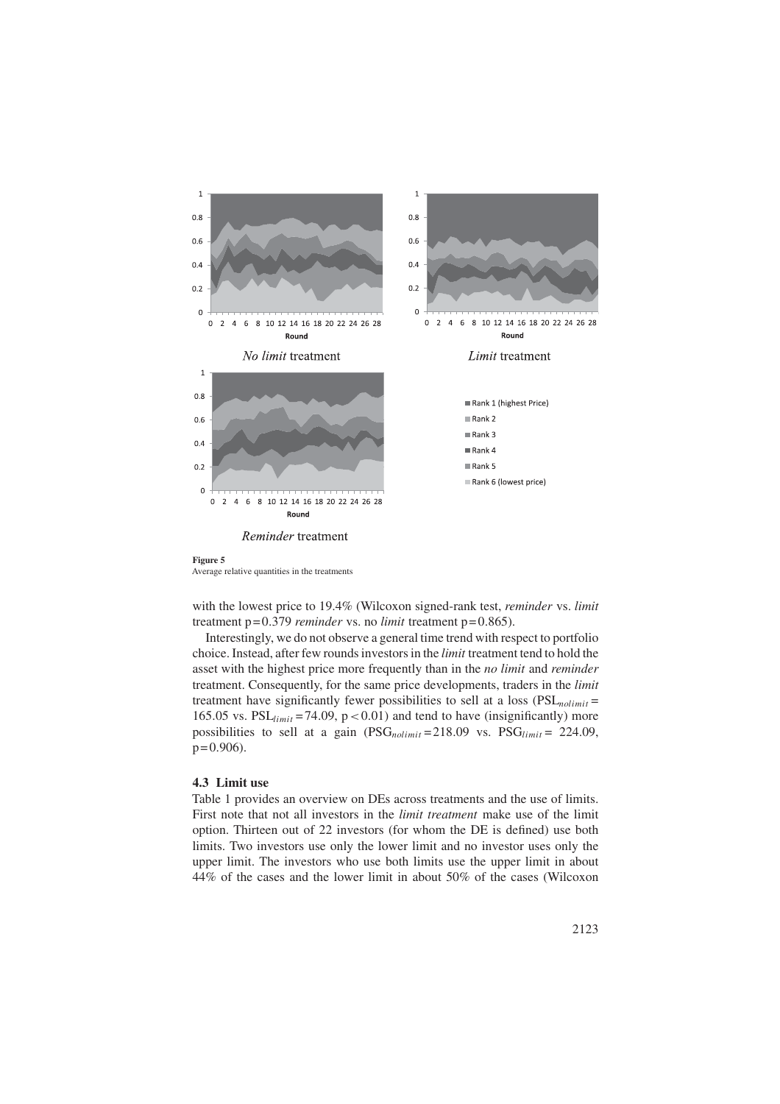

**Figure 5** Average relative quantities in the treatments

with the lowest price to 19.4% (Wilcoxon signed-rank test, *reminder* vs. *limit* treatment p=0.379 *reminder* vs. no *limit* treatment p=0.865).

Interestingly, we do not observe a general time trend with respect to portfolio choice. Instead, after few rounds investors in the *limit* treatment tend to hold the asset with the highest price more frequently than in the *no limit* and *reminder* treatment. Consequently, for the same price developments, traders in the *limit* treatment have significantly fewer possibilities to sell at a loss ( $PSL_{nolimit}$  = 165.05 vs.  $PSL<sub>limit</sub> = 74.09$ ,  $p < 0.01$ ) and tend to have (insignificantly) more possibilities to sell at a gain  $(PSG<sub>nonimit</sub> = 218.09$  vs.  $PSG<sub>limit</sub> = 224.09$ ,  $p=0.906$ ).

# **4.3 Limit use**

Table 1 provides an overview on DEs across treatments and the use of limits. First note that not all investors in the *limit treatment* make use of the limit option. Thirteen out of 22 investors (for whom the DE is defined) use both limits. Two investors use only the lower limit and no investor uses only the upper limit. The investors who use both limits use the upper limit in about 44% of the cases and the lower limit in about 50% of the cases (Wilcoxon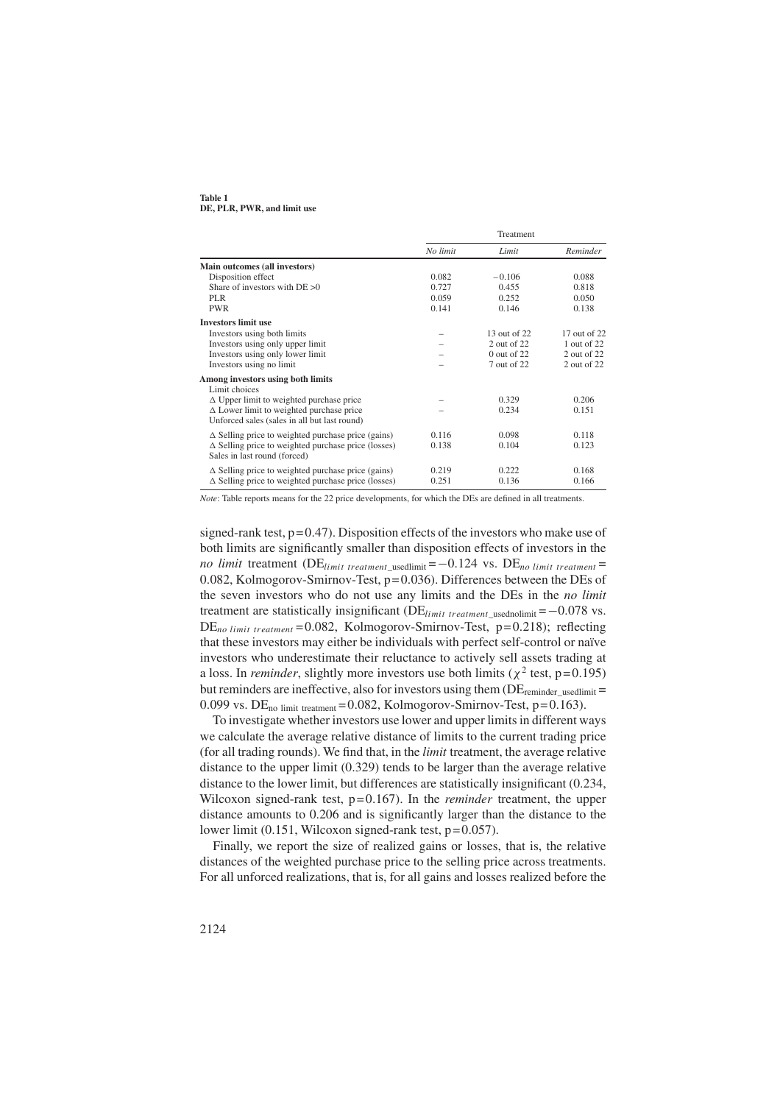#### **Table 1 DE, PLR, PWR, and limit use**

|                                                                                            | Treatment |                 |                 |  |
|--------------------------------------------------------------------------------------------|-----------|-----------------|-----------------|--|
|                                                                                            | No limit  | Limit           | Reminder        |  |
| Main outcomes (all investors)                                                              |           |                 |                 |  |
| Disposition effect                                                                         | 0.082     | $-0.106$        | 0.088           |  |
| Share of investors with $DE > 0$                                                           | 0.727     | 0.455           | 0.818           |  |
| <b>PLR</b>                                                                                 | 0.059     | 0.252           | 0.050           |  |
| <b>PWR</b>                                                                                 | 0.141     | 0.146           | 0.138           |  |
| <b>Investors limit use</b>                                                                 |           |                 |                 |  |
| Investors using both limits                                                                |           | 13 out of 22    | 17 out of 22    |  |
| Investors using only upper limit                                                           |           | $2$ out of $22$ | 1 out of 22     |  |
| Investors using only lower limit                                                           |           | $0$ out of 22   | $2$ out of $22$ |  |
| Investors using no limit                                                                   |           | 7 out of 22     | 2 out of 22     |  |
| Among investors using both limits                                                          |           |                 |                 |  |
| Limit choices                                                                              |           |                 |                 |  |
| $\Delta$ Upper limit to weighted purchase price                                            |           | 0.329           | 0.206           |  |
| $\Delta$ Lower limit to weighted purchase price                                            |           | 0.234           | 0.151           |  |
| Unforced sales (sales in all but last round)                                               |           |                 |                 |  |
| $\Delta$ Selling price to weighted purchase price (gains)                                  | 0.116     | 0.098           | 0.118           |  |
| $\Delta$ Selling price to weighted purchase price (losses)<br>Sales in last round (forced) | 0.138     | 0.104           | 0.123           |  |
| $\Delta$ Selling price to weighted purchase price (gains)                                  | 0.219     | 0.222           | 0.168           |  |
| $\Delta$ Selling price to weighted purchase price (losses)                                 | 0.251     | 0.136           | 0.166           |  |

*Note*: Table reports means for the 22 price developments, for which the DEs are defined in all treatments.

signed-rank test, p=0.47). Disposition effects of the investors who make use of both limits are significantly smaller than disposition effects of investors in the *no limit* treatment (DE<sub>limit treatment\_usedlimit =  $-0.124$  vs. DE<sub>no limit treatment =</sub></sub> 0.082, Kolmogorov-Smirnov-Test, p=0.036). Differences between the DEs of the seven investors who do not use any limits and the DEs in the *no limit* treatment are statistically insignificant (DE<sub>limit treatment\_usednolimit</sub> = −0.078 vs. DE<sub>no limit treatment</sub> = 0.082, Kolmogorov-Smirnov-Test, p=0.218); reflecting that these investors may either be individuals with perfect self-control or naïve investors who underestimate their reluctance to actively sell assets trading at a loss. In *reminder*, slightly more investors use both limits ( $\chi^2$  test, p=0.195) but reminders are ineffective, also for investors using them  $(DE_{\text{remainder usedlimit}} =$ 0.099 vs.  $DE_{no limit treatment} = 0.082$ , Kolmogorov-Smirnov-Test, p=0.163).

To investigate whether investors use lower and upper limits in different ways we calculate the average relative distance of limits to the current trading price (for all trading rounds). We find that, in the *limit* treatment, the average relative distance to the upper limit (0.329) tends to be larger than the average relative distance to the lower limit, but differences are statistically insignificant (0.234, Wilcoxon signed-rank test, p=0.167). In the *reminder* treatment, the upper distance amounts to 0.206 and is significantly larger than the distance to the lower limit (0.151, Wilcoxon signed-rank test, p=0.057).

Finally, we report the size of realized gains or losses, that is, the relative distances of the weighted purchase price to the selling price across treatments. For all unforced realizations, that is, for all gains and losses realized before the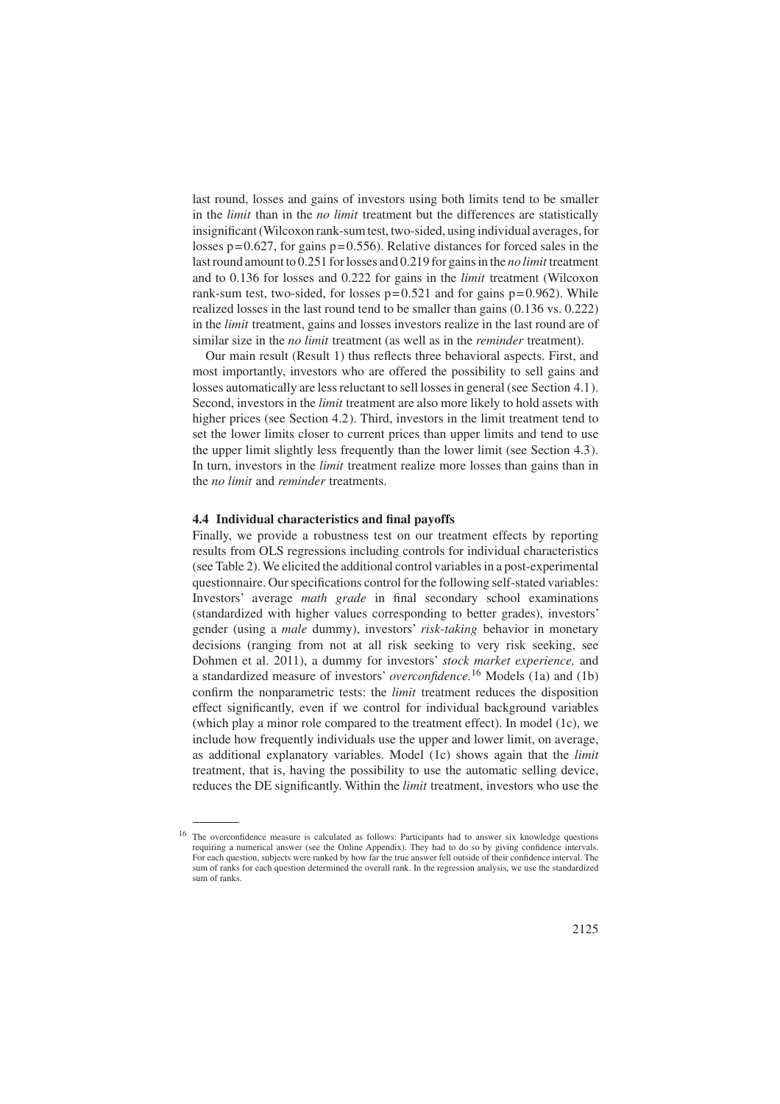last round, losses and gains of investors using both limits tend to be smaller in the *limit* than in the *no limit* treatment but the differences are statistically insignificant (Wilcoxon rank-sum test, two-sided, using individual averages, for losses  $p=0.627$ , for gains  $p=0.556$ ). Relative distances for forced sales in the last round amount to 0.251 for losses and 0.219 for gains in the *no limit* treatment and to 0.136 for losses and 0.222 for gains in the *limit* treatment (Wilcoxon rank-sum test, two-sided, for losses  $p=0.521$  and for gains  $p=0.962$ ). While realized losses in the last round tend to be smaller than gains (0.136 vs. 0.222) in the *limit* treatment, gains and losses investors realize in the last round are of similar size in the *no limit* treatment (as well as in the *reminder* treatment).

Our main result (Result 1) thus reflects three behavioral aspects. First, and most importantly, investors who are offered the possibility to sell gains and losses automatically are less reluctant to sell losses in general (see Section 4.1). Second, investors in the *limit* treatment are also more likely to hold assets with higher prices (see Section 4.2). Third, investors in the limit treatment tend to set the lower limits closer to current prices than upper limits and tend to use the upper limit slightly less frequently than the lower limit (see Section 4.3). In turn, investors in the *limit* treatment realize more losses than gains than in the *no limit* and *reminder* treatments.

## **4.4 Individual characteristics and final payoffs**

Finally, we provide a robustness test on our treatment effects by reporting results from OLS regressions including controls for individual characteristics (see Table 2). We elicited the additional control variables in a post-experimental questionnaire. Our specifications control for the following self-stated variables: Investors' average *math grade* in final secondary school examinations (standardized with higher values corresponding to better grades), investors' gender (using a *male* dummy), investors' *risk-taking* behavior in monetary decisions (ranging from not at all risk seeking to very risk seeking, see Dohmen et al. 2011), a dummy for investors' *stock market experience,* and a standardized measure of investors' *overconfidence.*<sup>16</sup> Models (1a) and (1b) confirm the nonparametric tests: the *limit* treatment reduces the disposition effect significantly, even if we control for individual background variables (which play a minor role compared to the treatment effect). In model (1c), we include how frequently individuals use the upper and lower limit, on average, as additional explanatory variables. Model (1c) shows again that the *limit* treatment, that is, having the possibility to use the automatic selling device, reduces the DE significantly. Within the *limit* treatment, investors who use the

<sup>16</sup> The overconfidence measure is calculated as follows: Participants had to answer six knowledge questions requiring a numerical answer (see the Online Appendix). They had to do so by giving confidence intervals. For each question, subjects were ranked by how far the true answer fell outside of their confidence interval. The sum of ranks for each question determined the overall rank. In the regression analysis, we use the standardized sum of ranks.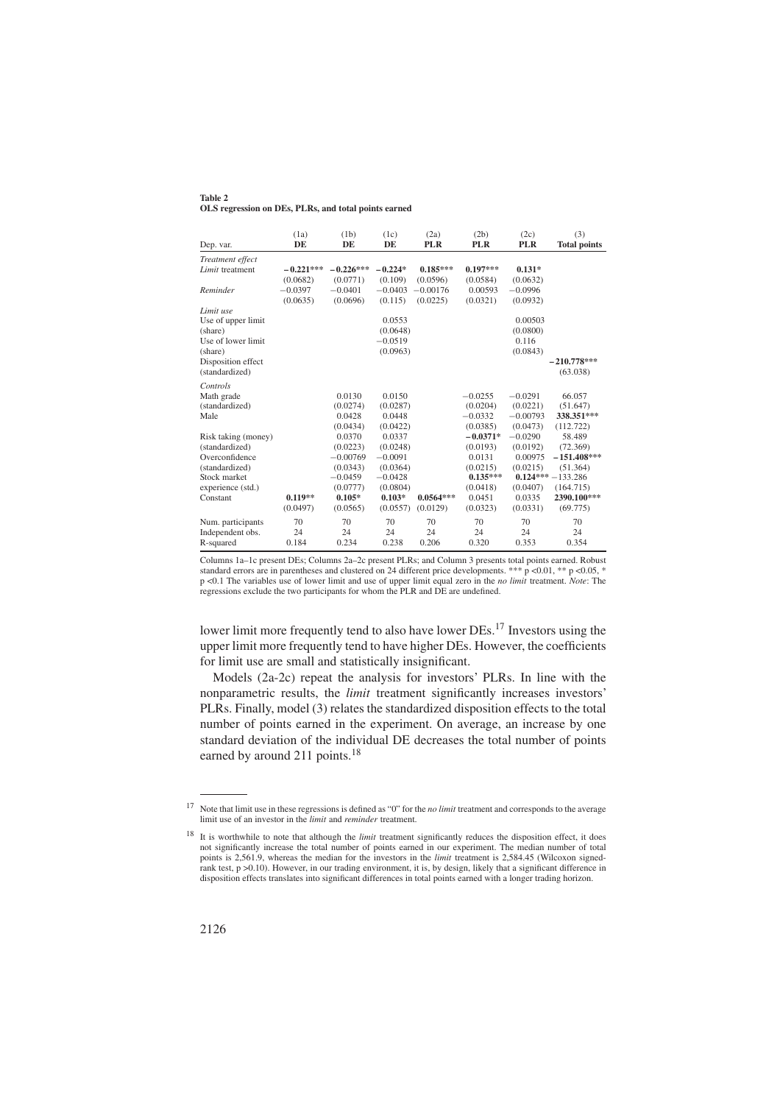#### **Table 2 OLS regression on DEs, PLRs, and total points earned**

|                     | (1a)<br>DE  | (1b)<br>DE  | (1c)<br>DE | (2a)<br><b>PLR</b> | (2b)<br><b>PLR</b> | (2c)<br><b>PLR</b> | (3)<br><b>Total points</b> |
|---------------------|-------------|-------------|------------|--------------------|--------------------|--------------------|----------------------------|
| Dep. var.           |             |             |            |                    |                    |                    |                            |
| Treatment effect    |             |             |            |                    |                    |                    |                            |
| Limit treatment     | $-0.221***$ | $-0.226***$ | $-0.224*$  | $0.185***$         | $0.197***$         | $0.131*$           |                            |
|                     | (0.0682)    | (0.0771)    | (0.109)    | (0.0596)           | (0.0584)           | (0.0632)           |                            |
| Reminder            | $-0.0397$   | $-0.0401$   | $-0.0403$  | $-0.00176$         | 0.00593            | $-0.0996$          |                            |
|                     | (0.0635)    | (0.0696)    | (0.115)    | (0.0225)           | (0.0321)           | (0.0932)           |                            |
| Limit use           |             |             |            |                    |                    |                    |                            |
| Use of upper limit  |             |             | 0.0553     |                    |                    | 0.00503            |                            |
| (share)             |             |             | (0.0648)   |                    |                    | (0.0800)           |                            |
| Use of lower limit  |             |             | $-0.0519$  |                    |                    | 0.116              |                            |
| (share)             |             |             | (0.0963)   |                    |                    | (0.0843)           |                            |
| Disposition effect  |             |             |            |                    |                    |                    | $-210.778***$              |
| (standardized)      |             |             |            |                    |                    |                    | (63.038)                   |
| Controls            |             |             |            |                    |                    |                    |                            |
| Math grade          |             | 0.0130      | 0.0150     |                    | $-0.0255$          | $-0.0291$          | 66.057                     |
| (standardized)      |             | (0.0274)    | (0.0287)   |                    | (0.0204)           | (0.0221)           | (51.647)                   |
| Male                |             | 0.0428      | 0.0448     |                    | $-0.0332$          | $-0.00793$         | 338.351***                 |
|                     |             | (0.0434)    | (0.0422)   |                    | (0.0385)           | (0.0473)           | (112.722)                  |
| Risk taking (money) |             | 0.0370      | 0.0337     |                    | $-0.0371*$         | $-0.0290$          | 58.489                     |
| (standardized)      |             | (0.0223)    | (0.0248)   |                    | (0.0193)           | (0.0192)           | (72.369)                   |
| Overconfidence      |             | $-0.00769$  | $-0.0091$  |                    | 0.0131             | 0.00975            | $-151.408***$              |
| (standardized)      |             | (0.0343)    | (0.0364)   |                    | (0.0215)           | (0.0215)           | (51.364)                   |
| Stock market        |             | $-0.0459$   | $-0.0428$  |                    | $0.135***$         |                    | $0.124*** - 133.286$       |
| experience (std.)   |             | (0.0777)    | (0.0804)   |                    | (0.0418)           | (0.0407)           | (164.715)                  |
| Constant            | $0.119**$   | $0.105*$    | $0.103*$   | $0.0564***$        | 0.0451             | 0.0335             | 2390.100***                |
|                     | (0.0497)    | (0.0565)    | (0.0557)   | (0.0129)           | (0.0323)           | (0.0331)           | (69.775)                   |
| Num. participants   | 70          | 70          | 70         | 70                 | 70                 | 70                 | 70                         |
| Independent obs.    | 24          | 24          | 24         | 24                 | 24                 | 24                 | 24                         |
| R-squared           | 0.184       | 0.234       | 0.238      | 0.206              | 0.320              | 0.353              | 0.354                      |

Columns 1a–1c present DEs; Columns 2a–2c present PLRs; and Column 3 presents total points earned. Robust standard errors are in parentheses and clustered on 24 different price developments. \*\*\* p <0.01, \*\* p <0.05, \* p <0.1 The variables use of lower limit and use of upper limit equal zero in the *no limit* treatment. *Note*: The regressions exclude the two participants for whom the PLR and DE are undefined.

lower limit more frequently tend to also have lower DEs.<sup>17</sup> Investors using the upper limit more frequently tend to have higher DEs. However, the coefficients for limit use are small and statistically insignificant.

Models (2a-2c) repeat the analysis for investors' PLRs. In line with the nonparametric results, the *limit* treatment significantly increases investors' PLRs. Finally, model (3) relates the standardized disposition effects to the total number of points earned in the experiment. On average, an increase by one standard deviation of the individual DE decreases the total number of points earned by around 211 points.<sup>18</sup>

<sup>17</sup> Note that limit use in these regressions is defined as "0" for the *no limit* treatment and corresponds to the average limit use of an investor in the *limit* and *reminder* treatment.

<sup>&</sup>lt;sup>18</sup> It is worthwhile to note that although the *limit* treatment significantly reduces the disposition effect, it does not significantly increase the total number of points earned in our experiment. The median number of total points is 2,561.9, whereas the median for the investors in the *limit* treatment is 2,584.45 (Wilcoxon signedrank test, p >0.10). However, in our trading environment, it is, by design, likely that a significant difference in disposition effects translates into significant differences in total points earned with a longer trading horizon.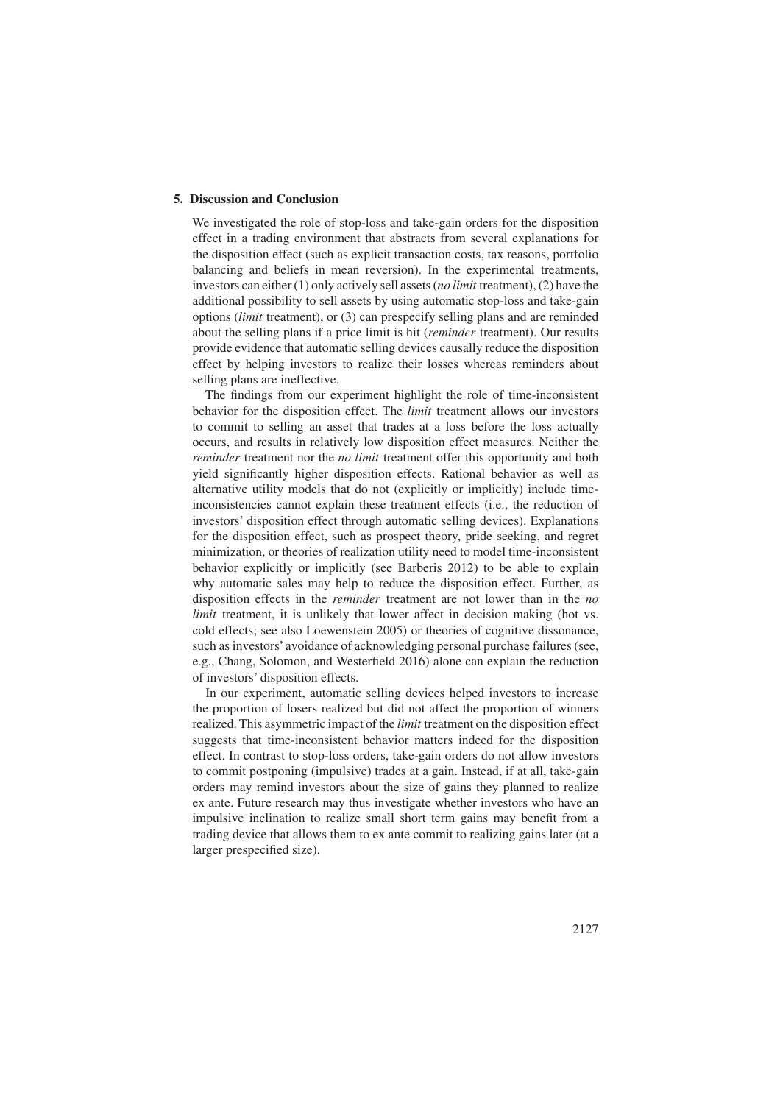# **5. Discussion and Conclusion**

We investigated the role of stop-loss and take-gain orders for the disposition effect in a trading environment that abstracts from several explanations for the disposition effect (such as explicit transaction costs, tax reasons, portfolio balancing and beliefs in mean reversion). In the experimental treatments, investors can either (1) only actively sell assets (*no limit* treatment), (2) have the additional possibility to sell assets by using automatic stop-loss and take-gain options (*limit* treatment), or (3) can prespecify selling plans and are reminded about the selling plans if a price limit is hit (*reminder* treatment). Our results provide evidence that automatic selling devices causally reduce the disposition effect by helping investors to realize their losses whereas reminders about selling plans are ineffective.

The findings from our experiment highlight the role of time-inconsistent behavior for the disposition effect. The *limit* treatment allows our investors to commit to selling an asset that trades at a loss before the loss actually occurs, and results in relatively low disposition effect measures. Neither the *reminder* treatment nor the *no limit* treatment offer this opportunity and both yield significantly higher disposition effects. Rational behavior as well as alternative utility models that do not (explicitly or implicitly) include timeinconsistencies cannot explain these treatment effects (i.e., the reduction of investors' disposition effect through automatic selling devices). Explanations for the disposition effect, such as prospect theory, pride seeking, and regret minimization, or theories of realization utility need to model time-inconsistent behavior explicitly or implicitly (see Barberis 2012) to be able to explain why automatic sales may help to reduce the disposition effect. Further, as disposition effects in the *reminder* treatment are not lower than in the *no limit* treatment, it is unlikely that lower affect in decision making (hot vs. cold effects; see also Loewenstein 2005) or theories of cognitive dissonance, such as investors'avoidance of acknowledging personal purchase failures (see, e.g., Chang, Solomon, and Westerfield 2016) alone can explain the reduction of investors' disposition effects.

In our experiment, automatic selling devices helped investors to increase the proportion of losers realized but did not affect the proportion of winners realized. This asymmetric impact of the *limit* treatment on the disposition effect suggests that time-inconsistent behavior matters indeed for the disposition effect. In contrast to stop-loss orders, take-gain orders do not allow investors to commit postponing (impulsive) trades at a gain. Instead, if at all, take-gain orders may remind investors about the size of gains they planned to realize ex ante. Future research may thus investigate whether investors who have an impulsive inclination to realize small short term gains may benefit from a trading device that allows them to ex ante commit to realizing gains later (at a larger prespecified size).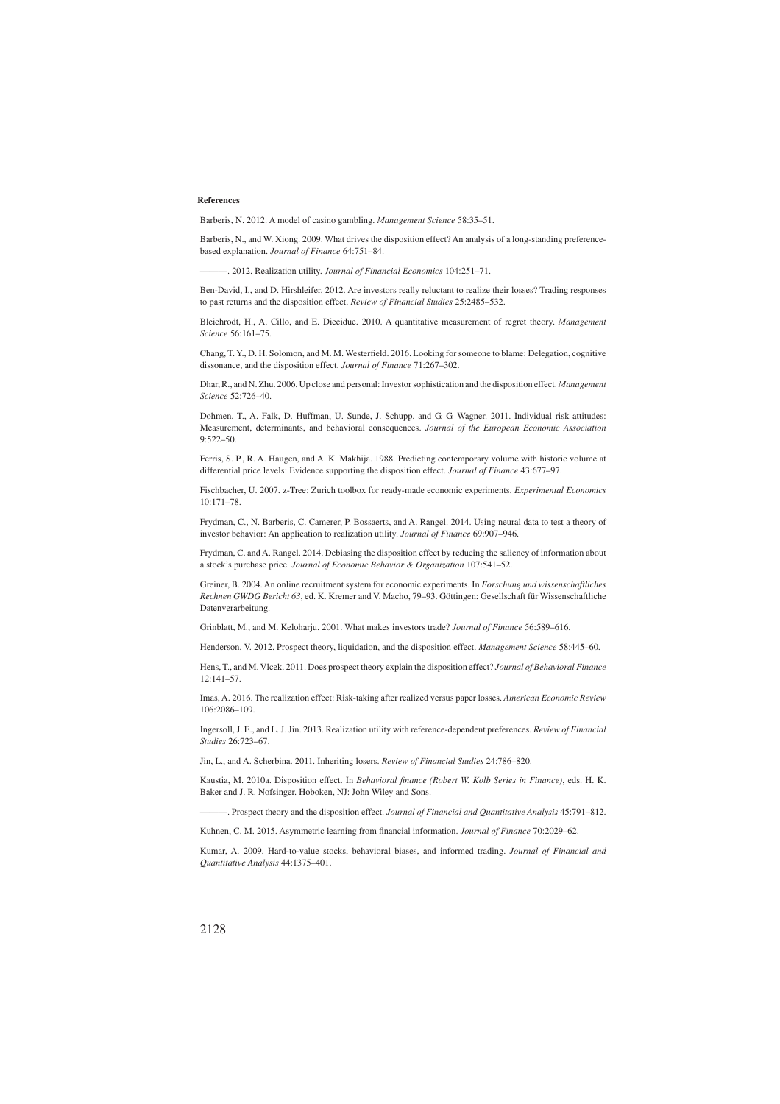#### **References**

Barberis, N. 2012. A model of casino gambling. *Management Science* 58:35–51.

Barberis, N., and W. Xiong. 2009. What drives the disposition effect? An analysis of a long-standing preferencebased explanation. *Journal of Finance* 64:751–84.

———. 2012. Realization utility. *Journal of Financial Economics* 104:251–71.

Ben-David, I., and D. Hirshleifer. 2012. Are investors really reluctant to realize their losses? Trading responses to past returns and the disposition effect. *Review of Financial Studies* 25:2485–532.

Bleichrodt, H., A. Cillo, and E. Diecidue. 2010. A quantitative measurement of regret theory. *Management Science* 56:161–75.

Chang, T. Y., D. H. Solomon, and M. M. Westerfield. 2016. Looking for someone to blame: Delegation, cognitive dissonance, and the disposition effect. *Journal of Finance* 71:267–302.

Dhar, R., and N. Zhu. 2006. Up close and personal: Investor sophistication and the disposition effect. *Management Science* 52:726–40.

Dohmen, T., A. Falk, D. Huffman, U. Sunde, J. Schupp, and G. G. Wagner. 2011. Individual risk attitudes: Measurement, determinants, and behavioral consequences. *Journal of the European Economic Association* 9:522–50.

Ferris, S. P., R. A. Haugen, and A. K. Makhija. 1988. Predicting contemporary volume with historic volume at differential price levels: Evidence supporting the disposition effect. *Journal of Finance* 43:677–97.

Fischbacher, U. 2007. z-Tree: Zurich toolbox for ready-made economic experiments. *Experimental Economics* 10:171–78.

Frydman, C., N. Barberis, C. Camerer, P. Bossaerts, and A. Rangel. 2014. Using neural data to test a theory of investor behavior: An application to realization utility. *Journal of Finance* 69:907–946.

Frydman, C. and A. Rangel. 2014. Debiasing the disposition effect by reducing the saliency of information about a stock's purchase price. *Journal of Economic Behavior & Organization* 107:541–52.

Greiner, B. 2004. An online recruitment system for economic experiments. In *Forschung und wissenschaftliches Rechnen GWDG Bericht 63*, ed. K. Kremer and V. Macho, 79–93. Göttingen: Gesellschaft für Wissenschaftliche Datenverarbeitung.

Grinblatt, M., and M. Keloharju. 2001. What makes investors trade? *Journal of Finance* 56:589–616.

Henderson, V. 2012. Prospect theory, liquidation, and the disposition effect. *Management Science* 58:445–60.

Hens, T., and M. Vlcek. 2011. Does prospect theory explain the disposition effect? *Journal of Behavioral Finance*  $12:141-57$ 

Imas, A. 2016. The realization effect: Risk-taking after realized versus paper losses. *American Economic Review* 106:2086–109.

Ingersoll, J. E., and L. J. Jin. 2013. Realization utility with reference-dependent preferences. *Review of Financial Studies* 26:723–67.

Jin, L., and A. Scherbina. 2011. Inheriting losers. *Review of Financial Studies* 24:786–820.

Kaustia, M. 2010a. Disposition effect. In *Behavioral finance (Robert W. Kolb Series in Finance)*, eds. H. K. Baker and J. R. Nofsinger. Hoboken, NJ: John Wiley and Sons.

———. Prospect theory and the disposition effect. *Journal of Financial and Quantitative Analysis* 45:791–812.

Kuhnen, C. M. 2015. Asymmetric learning from financial information. *Journal of Finance* 70:2029–62.

Kumar, A. 2009. Hard-to-value stocks, behavioral biases, and informed trading. *Journal of Financial and Quantitative Analysis* 44:1375–401.